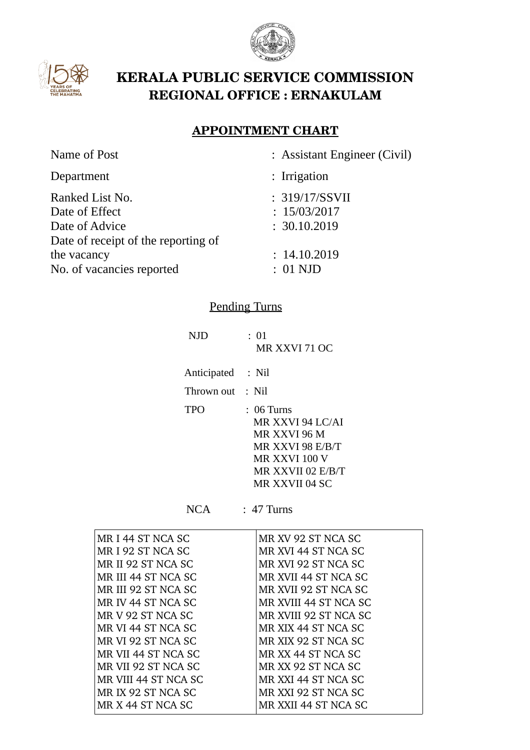



# **KERALA PUBLIC SERVICE COMMISSION REGIONAL OFFICE : ERNAKULAM**

### **APPOINTMENT CHART**

| Name of Post                        | : Assistant Engineer (Civil) |
|-------------------------------------|------------------------------|
| Department                          | $:$ Irrigation               |
| Ranked List No.                     | : 319/17/SSVII               |
| Date of Effect                      | : 15/03/2017                 |
| Date of Advice                      | : 30.10.2019                 |
| Date of receipt of the reporting of |                              |
| the vacancy                         | : 14.10.2019                 |
| No. of vacancies reported           | $: 01 \text{ NJD}$           |
|                                     |                              |

### Pending Turns

| NJD               | : 01<br>MR XXVI 71 OC                                                                                                        |
|-------------------|------------------------------------------------------------------------------------------------------------------------------|
| Anticipated : Nil |                                                                                                                              |
| Thrown out : Nil  |                                                                                                                              |
| TPO               | $: 06$ Turns<br>MR XXVI 94 LC/AI<br>MR XXVI 96 M<br>MR XXVI 98 E/B/T<br>MR XXVI 100 V<br>MR XXVII 02 E/B/T<br>MR XXVII 04 SC |

NCA : 47 Turns

| MR I 44 ST NCA SC    | MR XV 92 ST NCA SC    |
|----------------------|-----------------------|
| MRI92 ST NCA SC      | MR XVI 44 ST NCA SC   |
| MR II 92 ST NCA SC   | MR XVI 92 ST NCA SC   |
| MR III 44 ST NCA SC  | MR XVII 44 ST NCA SC  |
| MR III 92 ST NCA SC  | MR XVII 92 ST NCA SC  |
| MR IV 44 ST NCA SC   | MR XVIII 44 ST NCA SC |
| MR V 92 ST NCA SC    | MR XVIII 92 ST NCA SC |
| MR VI 44 ST NCA SC   | MR XIX 44 ST NCA SC   |
| MR VI 92 ST NCA SC   | MR XIX 92 ST NCA SC   |
| MR VII 44 ST NCA SC  | MR XX 44 ST NCA SC    |
| MR VII 92 ST NCA SC  | MR XX 92 ST NCA SC    |
| MR VIII 44 ST NCA SC | MR XXI 44 ST NCA SC   |
| MR IX 92 ST NCA SC   | MR XXI 92 ST NCA SC   |
| MR X 44 ST NCA SC    | MR XXII 44 ST NCA SC  |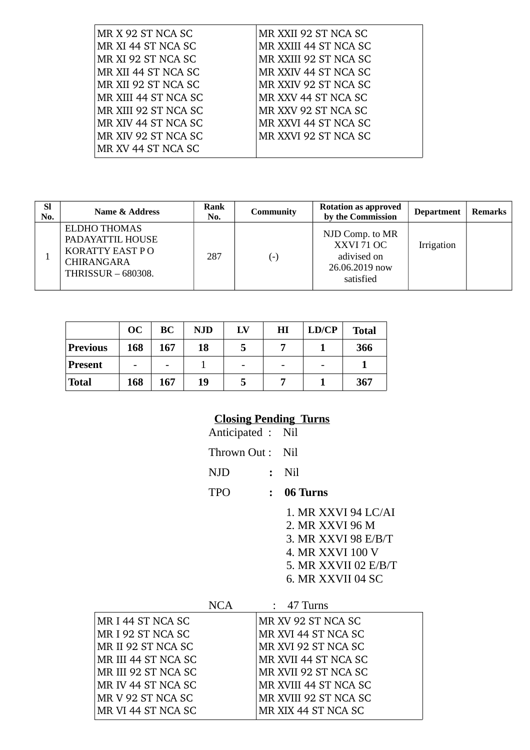| MR X 92 ST NCA SC    | MR XXII 92 ST NCA SC  |
|----------------------|-----------------------|
| MR XI 44 ST NCA SC   | MR XXIII 44 ST NCA SC |
| MR XI 92 ST NCA SC   | MR XXIII 92 ST NCA SC |
| MR XII 44 ST NCA SC  | MR XXIV 44 ST NCA SC  |
| MR XII 92 ST NCA SC  | MR XXIV 92 ST NCA SC  |
| MR XIII 44 ST NCA SC | MR XXV 44 ST NCA SC   |
| MR XIII 92 ST NCA SC | MR XXV 92 ST NCA SC   |
| MR XIV 44 ST NCA SC  | MR XXVI 44 ST NCA SC  |
| MR XIV 92 ST NCA SC  | MR XXVI 92 ST NCA SC  |
| MR XV 44 ST NCA SC   |                       |

| <b>SI</b><br>No. | Rank<br>Name & Address<br>No.                                                                         |     | <b>Community</b> | <b>Rotation as approved</b><br>by the Commission                            | <b>Department</b> | Remarks |
|------------------|-------------------------------------------------------------------------------------------------------|-----|------------------|-----------------------------------------------------------------------------|-------------------|---------|
|                  | ELDHO THOMAS<br>PADAYATTIL HOUSE<br><b>KORATTY EAST PO</b><br><b>CHIRANGARA</b><br>THRISSUR - 680308. | 287 | ′−)              | NJD Comp. to MR<br>XXVI 71 OC<br>adivised on<br>26.06.2019 now<br>satisfied | Irrigation        |         |

|                 | OC  | BC  | <b>NJD</b> | LV | HI                       | LD/CP | <b>Total</b> |
|-----------------|-----|-----|------------|----|--------------------------|-------|--------------|
| <b>Previous</b> | 168 | 167 | 18         | Ć  | $\overline{ }$           |       | 366          |
| <b>Present</b>  |     |     |            | -  | $\overline{\phantom{0}}$ |       |              |
| <b>Total</b>    | 168 | 167 | 19         | Ć  | −                        |       | 367          |

## **Closing Pending Turns**

| Anticipated : Nil |              |                                                                                                                                |
|-------------------|--------------|--------------------------------------------------------------------------------------------------------------------------------|
| Thrown Out :      |              | Nil.                                                                                                                           |
| NJD               | $\mathbf{r}$ | Nil                                                                                                                            |
| <b>TPO</b>        | $\mathbf{L}$ | 06 Turns                                                                                                                       |
|                   |              | 1. MR XXVI 94 LC/AI<br>2. MR XXVI 96 M<br>3. MR XXVI 98 E/B/T<br>4. MR XXVI 100 V<br>5. MR XXVII 02 E/B/T<br>6. MR XXVII 04 SC |

|                     | <b>NCA</b> | $\therefore$ 47 Turns |
|---------------------|------------|-----------------------|
| MR I 44 ST NCA SC   |            | MR XV 92 ST NCA SC    |
| MR I 92 ST NCA SC   |            | MR XVI 44 ST NCA SC   |
| MR II 92 ST NCA SC  |            | MR XVI 92 ST NCA SC   |
| MR III 44 ST NCA SC |            | MR XVII 44 ST NCA SC  |
| MR III 92 ST NCA SC |            | MR XVII 92 ST NCA SC  |
| MR IV 44 ST NCA SC  |            | MR XVIII 44 ST NCA SC |
| MR V 92 ST NCA SC   |            | MR XVIII 92 ST NCA SC |
| MR VI 44 ST NCA SC  |            | MR XIX 44 ST NCA SC   |